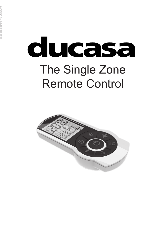# ducasa The Single Zone Remote Control

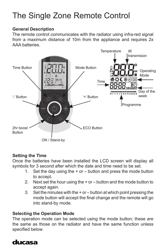### The Single Zone Remote Control

#### **General Description**

The remote control communicates with the radiator using infra-red signal from a maximum distance of 10m from the appliance and requires 2x AAA batteries.



#### **Setting the Time**

Once the batteries have been installed the LCD screen will display all symbols for 3 second after which the date and time need to be set.

- 1. Set the day using the + or button and press the mode button to accept.
- 2. Next set the hour using the + or button and the mode button to accept again.
- 3. Set the minutes with the + or button at which point pressing the mode button will accept the final change and the remote will go into stand-by mode.

#### **Selecting the Operation Mode**

The operation mode can be selected using the mode button; these are the same as those on the radiator and have the same function unless specified below.

#### ducasa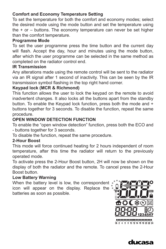#### **Comfort and Economy Temperature Setting**

To set the temperature for both the comfort and economy modes; select the desired mode using the mode button and set the temperature using the + or – buttons. The economy temperature can never be set higher than the comfort temperature.

#### **Programme Mode**

To set the user programme press the time button and the current day will flash. Accept the day, hour and minutes using the mode button, after which the user programme can be selected in the same method as completed on the radiator control end.

#### **IR Transmission**

Any alterations made using the remote control will be sent to the radiator via an IR signal after 1 second of inactivity. This can be seen by the IR transmission symbol flashing in the top right hand corner.

#### **Keypad lock (MCR & Richmond)**

This function allows the user to lock the keypad on the remote to avoid inadvertent changes. It also locks all the buttons apart from the standby button. To enable the Keypad lock function, press both the mode and + buttons together for 3 seconds. To disable the function, repeat the same procedure.

#### **OPEN WINDOW DETECTION FUNCTION**

To enable the "open window detection" function, press both the ECO and - buttons together for 3 seconds.

To disable the function, repeat the same procedure.

#### **2-Hour Boost**

This mode will force continued heating for 2 hours independent of room temperature, after this time the radiator will return to the previously operated mode.

To activate press the 2-Hour Boost button, 2H will now be shown on the display of both the radiator and the remote. To cancel press the 2-Hour Boost button.

#### **Low Battery Warning**

When the battery level is low, the correspondent icon will appear on the display. Replace the batteries as soon as possible.



#### ducasa